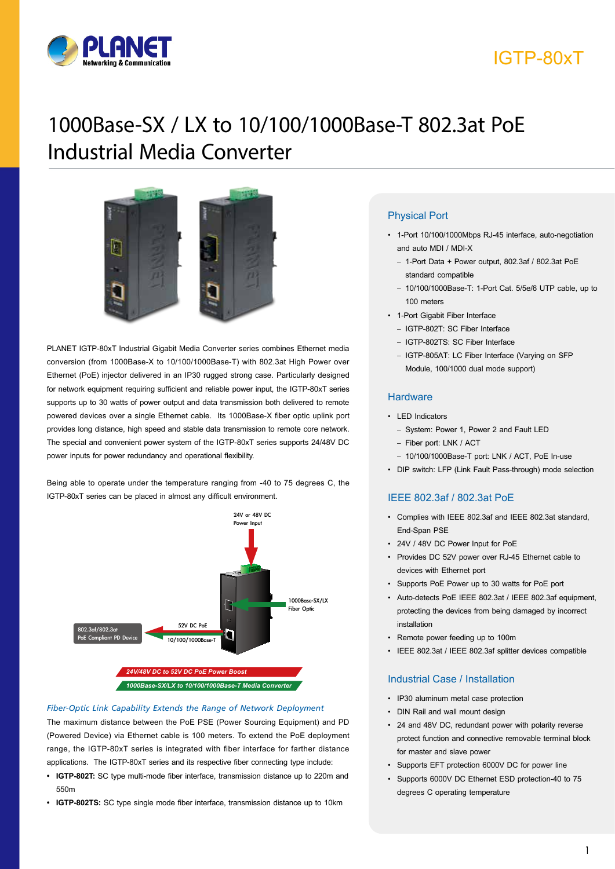

## IGTP-80xT

# 1000Base-SX / LX to 10/100/1000Base-T 802.3at PoE Industrial Media Converter



PLANET IGTP-80xT Industrial Gigabit Media Converter series combines Ethernet media conversion (from 1000Base-X to 10/100/1000Base-T) with 802.3at High Power over Ethernet (PoE) injector delivered in an IP30 rugged strong case. Particularly designed for network equipment requiring sufficient and reliable power input, the IGTP-80xT series supports up to 30 watts of power output and data transmission both delivered to remote powered devices over a single Ethernet cable. Its 1000Base-X fiber optic uplink port provides long distance, high speed and stable data transmission to remote core network. The special and convenient power system of the IGTP-80xT series supports 24/48V DC power inputs for power redundancy and operational flexibility.

Being able to operate under the temperature ranging from -40 to 75 degrees C, the IGTP-80xT series can be placed in almost any difficult environment.



#### *Fiber-Optic Link Capability Extends the Range of Network Deployment*

The maximum distance between the PoE PSE (Power Sourcing Equipment) and PD (Powered Device) via Ethernet cable is 100 meters. To extend the PoE deployment range, the IGTP-80xT series is integrated with fiber interface for farther distance applications. The IGTP-80xT series and its respective fiber connecting type include:

- **• IGTP-802T:** SC type multi-mode fiber interface, transmission distance up to 220m and 550m
- **• IGTP-802TS:** SC type single mode fiber interface, transmission distance up to 10km

#### Physical Port

- 1-Port 10/100/1000Mbps RJ-45 interface, auto-negotiation and auto MDI / MDI-X
	- 1-Port Data + Power output, 802.3af / 802.3at PoE standard compatible
	- 10/100/1000Base-T: 1-Port Cat. 5/5e/6 UTP cable, up to 100 meters
- 1-Port Gigabit Fiber Interface
	- IGTP-802T: SC Fiber Interface
	- IGTP-802TS: SC Fiber Interface
	- IGTP-805AT: LC Fiber Interface (Varying on SFP Module, 100/1000 dual mode support)

#### **Hardware**

#### • LED Indicators

- System: Power 1, Power 2 and Fault LED
- Fiber port: LNK / ACT
- 10/100/1000Base-T port: LNK / ACT, PoE In-use
- DIP switch: LFP (Link Fault Pass-through) mode selection

#### IEEE 802.3af / 802.3at PoE

- Complies with IEEE 802.3af and IEEE 802.3at standard, End-Span PSE
- 24V / 48V DC Power Input for PoE
- Provides DC 52V power over RJ-45 Ethernet cable to devices with Ethernet port
- Supports PoE Power up to 30 watts for PoE port
- Auto-detects PoE IEEE 802.3at / IEEE 802.3af equipment, protecting the devices from being damaged by incorrect installation
- Remote power feeding up to 100m
- IEEE 802.3at / IEEE 802.3af splitter devices compatible

#### Industrial Case / Installation

- IP30 aluminum metal case protection
- DIN Rail and wall mount design
- 24 and 48V DC, redundant power with polarity reverse protect function and connective removable terminal block for master and slave power
- Supports EFT protection 6000V DC for power line
- Supports 6000V DC Ethernet ESD protection-40 to 75 degrees C operating temperature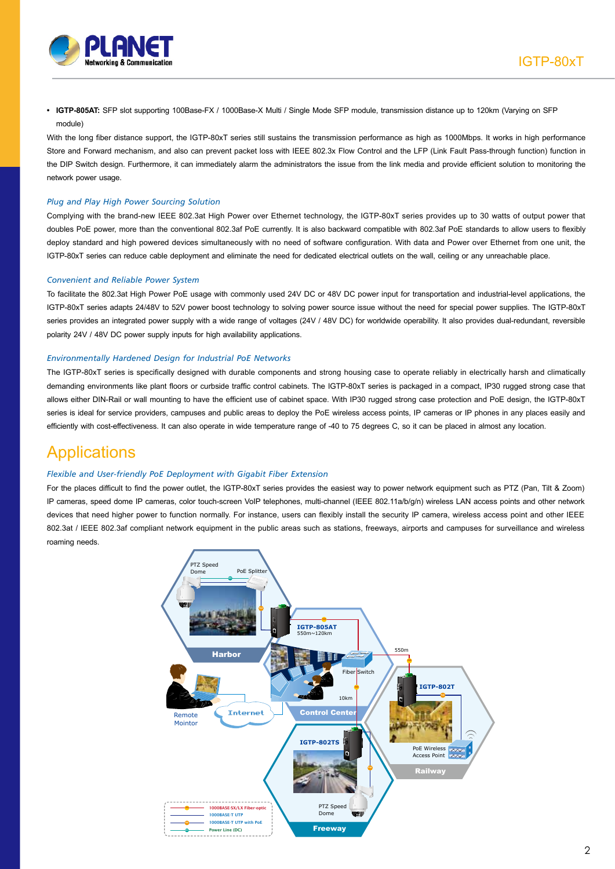

**• IGTP-805AT:** SFP slot supporting 100Base-FX / 1000Base-X Multi / Single Mode SFP module, transmission distance up to 120km (Varying on SFP module)

With the long fiber distance support, the IGTP-80xT series still sustains the transmission performance as high as 1000Mbps. It works in high performance Store and Forward mechanism, and also can prevent packet loss with IEEE 802.3x Flow Control and the LFP (Link Fault Pass-through function) function in the DIP Switch design. Furthermore, it can immediately alarm the administrators the issue from the link media and provide efficient solution to monitoring the network power usage.

#### *Plug and Play High Power Sourcing Solution*

Complying with the brand-new IEEE 802.3at High Power over Ethernet technology, the IGTP-80xT series provides up to 30 watts of output power that doubles PoE power, more than the conventional 802.3af PoE currently. It is also backward compatible with 802.3af PoE standards to allow users to flexibly deploy standard and high powered devices simultaneously with no need of software configuration. With data and Power over Ethernet from one unit, the IGTP-80xT series can reduce cable deployment and eliminate the need for dedicated electrical outlets on the wall, ceiling or any unreachable place.

#### *Convenient and Reliable Power System*

To facilitate the 802.3at High Power PoE usage with commonly used 24V DC or 48V DC power input for transportation and industrial-level applications, the IGTP-80xT series adapts 24/48V to 52V power boost technology to solving power source issue without the need for special power supplies. The IGTP-80xT series provides an integrated power supply with a wide range of voltages (24V / 48V DC) for worldwide operability. It also provides dual-redundant, reversible polarity 24V / 48V DC power supply inputs for high availability applications.

#### *Environmentally Hardened Design for Industrial PoE Networks*

The IGTP-80xT series is specifically designed with durable components and strong housing case to operate reliably in electrically harsh and climatically demanding environments like plant floors or curbside traffic control cabinets. The IGTP-80xT series is packaged in a compact, IP30 rugged strong case that allows either DIN-Rail or wall mounting to have the efficient use of cabinet space. With IP30 rugged strong case protection and PoE design, the IGTP-80xT series is ideal for service providers, campuses and public areas to deploy the PoE wireless access points, IP cameras or IP phones in any places easily and efficiently with cost-effectiveness. It can also operate in wide temperature range of -40 to 75 degrees C, so it can be placed in almost any location.

### **Applications**

#### *Flexible and User-friendly PoE Deployment with Gigabit Fiber Extension*

For the places difficult to find the power outlet, the IGTP-80xT series provides the easiest way to power network equipment such as PTZ (Pan, Tilt & Zoom) IP cameras, speed dome IP cameras, color touch-screen VoIP telephones, multi-channel (IEEE 802.11a/b/g/n) wireless LAN access points and other network devices that need higher power to function normally. For instance, users can flexibly install the security IP camera, wireless access point and other IEEE 802.3at / IEEE 802.3af compliant network equipment in the public areas such as stations, freeways, airports and campuses for surveillance and wireless roaming needs.

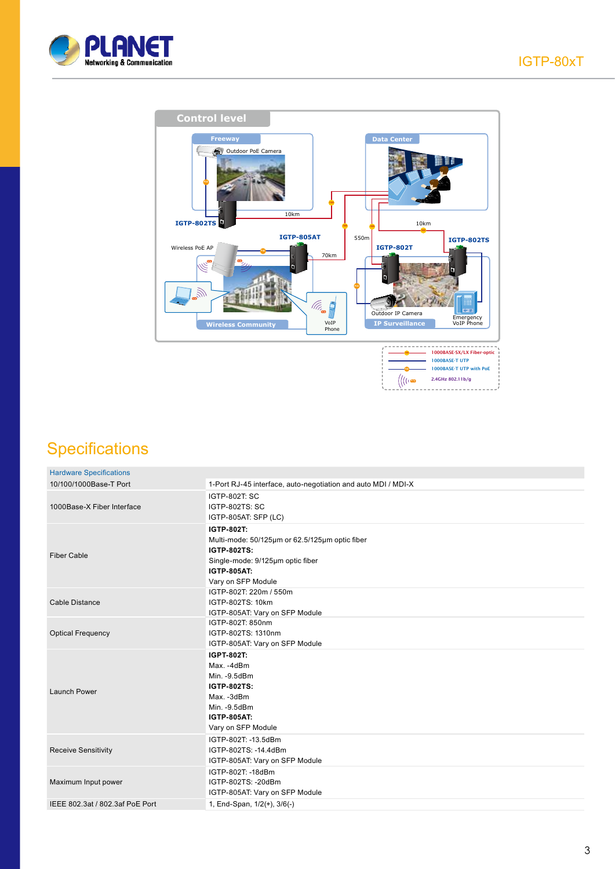



## **Specifications**

| <b>Hardware Specifications</b>  |                                                                                                                                                                    |
|---------------------------------|--------------------------------------------------------------------------------------------------------------------------------------------------------------------|
| 10/100/1000Base-T Port          | 1-Port RJ-45 interface, auto-negotiation and auto MDI / MDI-X                                                                                                      |
| 1000Base-X Fiber Interface      | <b>IGTP-802T: SC</b><br><b>IGTP-802TS: SC</b><br>IGTP-805AT: SFP (LC)                                                                                              |
| <b>Fiber Cable</b>              | IGTP-802T:<br>Multi-mode: 50/125µm or 62.5/125µm optic fiber<br><b>IGTP-802TS:</b><br>Single-mode: 9/125µm optic fiber<br><b>IGTP-805AT:</b><br>Vary on SFP Module |
| Cable Distance                  | IGTP-802T: 220m / 550m<br>IGTP-802TS: 10km<br>IGTP-805AT: Vary on SFP Module                                                                                       |
| <b>Optical Frequency</b>        | IGTP-802T: 850nm<br>IGTP-802TS: 1310nm<br>IGTP-805AT: Vary on SFP Module                                                                                           |
| Launch Power                    | IGPT-802T:<br>Max. -4dBm<br>Min. - 9.5dBm<br><b>IGTP-802TS:</b><br>Max. -3dBm<br>Min. - 9.5dBm<br><b>IGTP-805AT:</b><br>Vary on SFP Module                         |
| <b>Receive Sensitivity</b>      | IGTP-802T: -13.5dBm<br>IGTP-802TS: -14.4dBm<br>IGTP-805AT: Vary on SFP Module                                                                                      |
| Maximum Input power             | IGTP-802T: -18dBm<br>IGTP-802TS: -20dBm<br>IGTP-805AT: Vary on SFP Module                                                                                          |
| IEEE 802.3at / 802.3af PoE Port | 1, End-Span, 1/2(+), 3/6(-)                                                                                                                                        |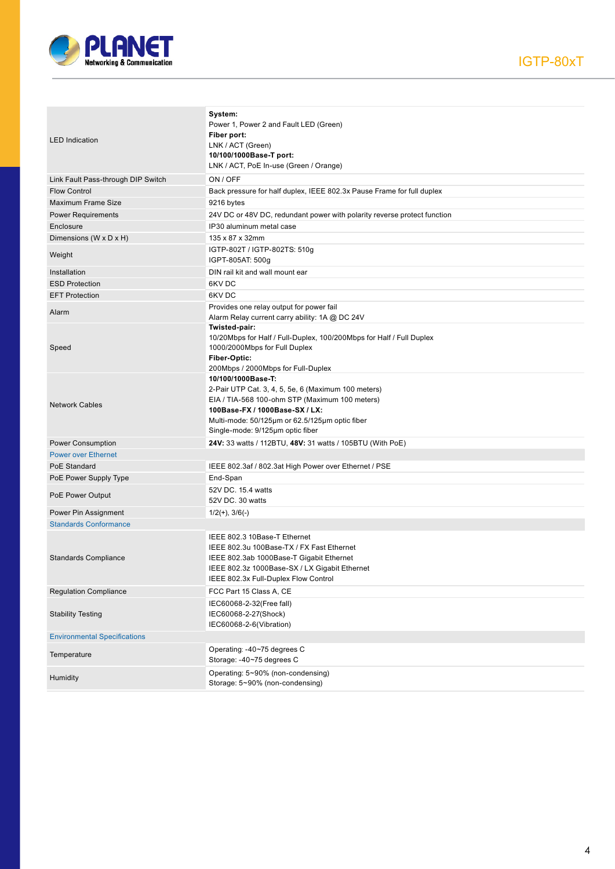

| <b>LED</b> Indication               | System:<br>Power 1, Power 2 and Fault LED (Green)<br>Fiber port:<br>LNK / ACT (Green)<br>10/100/1000Base-T port:<br>LNK / ACT, PoE In-use (Green / Orange)                                                                                          |
|-------------------------------------|-----------------------------------------------------------------------------------------------------------------------------------------------------------------------------------------------------------------------------------------------------|
| Link Fault Pass-through DIP Switch  | ON / OFF                                                                                                                                                                                                                                            |
| <b>Flow Control</b>                 | Back pressure for half duplex, IEEE 802.3x Pause Frame for full duplex                                                                                                                                                                              |
| <b>Maximum Frame Size</b>           | 9216 bytes                                                                                                                                                                                                                                          |
| <b>Power Requirements</b>           | 24V DC or 48V DC, redundant power with polarity reverse protect function                                                                                                                                                                            |
| Enclosure                           | IP30 aluminum metal case                                                                                                                                                                                                                            |
| Dimensions (W x D x H)              | 135 x 87 x 32mm                                                                                                                                                                                                                                     |
|                                     | IGTP-802T / IGTP-802TS: 510g                                                                                                                                                                                                                        |
| Weight                              | IGPT-805AT: 500g                                                                                                                                                                                                                                    |
| Installation                        | DIN rail kit and wall mount ear                                                                                                                                                                                                                     |
| <b>ESD Protection</b>               | 6KV DC                                                                                                                                                                                                                                              |
| <b>EFT Protection</b>               | 6KV DC                                                                                                                                                                                                                                              |
| Alarm                               | Provides one relay output for power fail<br>Alarm Relay current carry ability: 1A @ DC 24V                                                                                                                                                          |
| Speed                               | Twisted-pair:<br>10/20Mbps for Half / Full-Duplex, 100/200Mbps for Half / Full Duplex<br>1000/2000Mbps for Full Duplex<br>Fiber-Optic:<br>200Mbps / 2000Mbps for Full-Duplex                                                                        |
| <b>Network Cables</b>               | 10/100/1000Base-T:<br>2-Pair UTP Cat. 3, 4, 5, 5e, 6 (Maximum 100 meters)<br>EIA / TIA-568 100-ohm STP (Maximum 100 meters)<br>100Base-FX / 1000Base-SX / LX:<br>Multi-mode: 50/125µm or 62.5/125µm optic fiber<br>Single-mode: 9/125µm optic fiber |
| Power Consumption                   | 24V: 33 watts / 112BTU, 48V: 31 watts / 105BTU (With PoE)                                                                                                                                                                                           |
| <b>Power over Ethernet</b>          |                                                                                                                                                                                                                                                     |
| PoE Standard                        | IEEE 802.3af / 802.3at High Power over Ethernet / PSE                                                                                                                                                                                               |
| PoE Power Supply Type               | End-Span                                                                                                                                                                                                                                            |
| PoE Power Output                    | 52V DC. 15.4 watts<br>52V DC. 30 watts                                                                                                                                                                                                              |
| Power Pin Assignment                | $1/2(+)$ , $3/6(-)$                                                                                                                                                                                                                                 |
| <b>Standards Conformance</b>        |                                                                                                                                                                                                                                                     |
| <b>Standards Compliance</b>         | IEEE 802.3 10Base-T Ethernet<br>IEEE 802.3u 100Base-TX / FX Fast Ethernet<br>IEEE 802.3ab 1000Base-T Gigabit Ethernet<br>IEEE 802.3z 1000Base-SX / LX Gigabit Ethernet<br>IEEE 802.3x Full-Duplex Flow Control                                      |
| <b>Regulation Compliance</b>        | FCC Part 15 Class A, CE                                                                                                                                                                                                                             |
| <b>Stability Testing</b>            | IEC60068-2-32(Free fall)<br>IEC60068-2-27(Shock)<br>IEC60068-2-6(Vibration)                                                                                                                                                                         |
| <b>Environmental Specifications</b> |                                                                                                                                                                                                                                                     |
| Temperature                         | Operating: -40~75 degrees C<br>Storage: -40~75 degrees C                                                                                                                                                                                            |
| Humidity                            | Operating: 5~90% (non-condensing)<br>Storage: 5~90% (non-condensing)                                                                                                                                                                                |